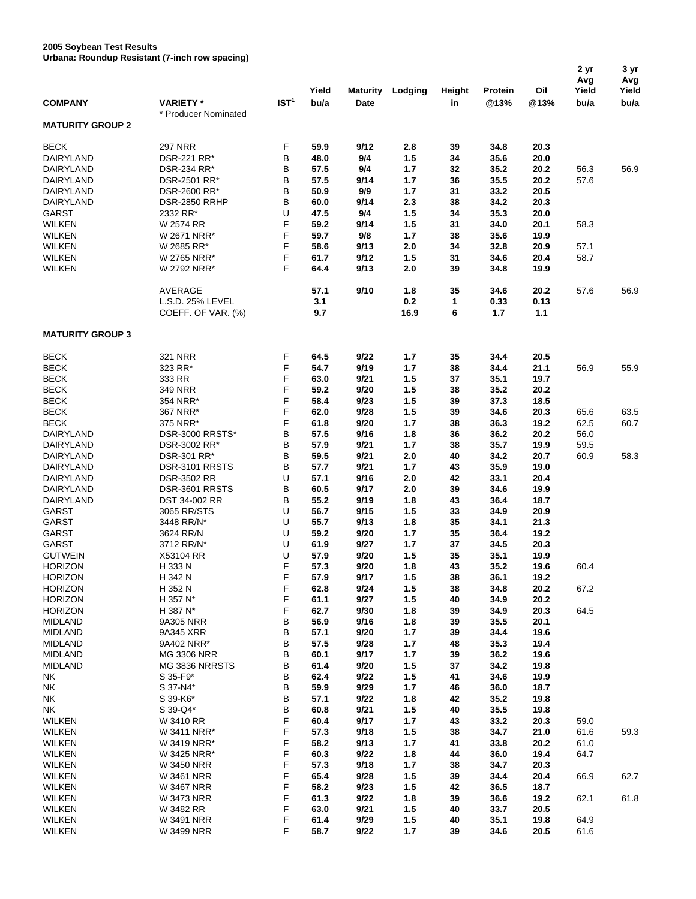## **2005 Soybean Test Results Urbana: Roundup Resistant (7-inch row spacing)**

| <b>COMPANY</b>                   | orbana. Rodnuup Resistant (7-inch row spacing)<br><b>VARIETY*</b> | IST <sup>1</sup> | Yield<br>bu/a | <b>Maturity</b><br>Date | Lodging      | Height<br>in | Protein<br>@13% | Oil<br>@13%  | 2 yr<br>Avg<br>Yield<br>bu/a | 3 yr<br>Avg<br>Yield<br>bu/a |
|----------------------------------|-------------------------------------------------------------------|------------------|---------------|-------------------------|--------------|--------------|-----------------|--------------|------------------------------|------------------------------|
|                                  | * Producer Nominated                                              |                  |               |                         |              |              |                 |              |                              |                              |
| <b>MATURITY GROUP 2</b>          |                                                                   |                  |               |                         |              |              |                 |              |                              |                              |
| <b>BECK</b>                      | <b>297 NRR</b>                                                    | F                | 59.9          | 9/12                    | 2.8          | 39           | 34.8            | 20.3         |                              |                              |
| DAIRYLAND                        | DSR-221 RR*                                                       | В                | 48.0          | 9/4                     | $1.5$        | 34           | 35.6            | 20.0         |                              |                              |
| DAIRYLAND                        | DSR-234 RR*                                                       | В                | 57.5          | 9/4                     | 1.7          | 32           | 35.2            | 20.2         | 56.3                         | 56.9                         |
| DAIRYLAND                        | DSR-2501 RR*                                                      | В                | 57.5          | 9/14                    | 1.7          | 36           | 35.5            | 20.2         | 57.6                         |                              |
| DAIRYLAND                        | DSR-2600 RR*                                                      | в                | 50.9          | 9/9                     | $1.7$        | 31           | 33.2            | 20.5         |                              |                              |
| DAIRYLAND                        | DSR-2850 RRHP                                                     | в                | 60.0          | 9/14                    | 2.3          | 38           | 34.2            | 20.3         |                              |                              |
| <b>GARST</b><br><b>WILKEN</b>    | 2332 RR*<br>W 2574 RR                                             | U<br>F           | 47.5<br>59.2  | 9/4<br>9/14             | 1.5<br>1.5   | 34<br>31     | 35.3<br>34.0    | 20.0<br>20.1 | 58.3                         |                              |
| <b>WILKEN</b>                    | W 2671 NRR*                                                       | F                | 59.7          | 9/8                     | $1.7$        | 38           | 35.6            | 19.9         |                              |                              |
| <b>WILKEN</b>                    | W 2685 RR*                                                        | F                | 58.6          | 9/13                    | 2.0          | 34           | 32.8            | 20.9         | 57.1                         |                              |
| <b>WILKEN</b>                    | W 2765 NRR*                                                       | F                | 61.7          | 9/12                    | $1.5$        | 31           | 34.6            | 20.4         | 58.7                         |                              |
| <b>WILKEN</b>                    | W 2792 NRR*                                                       | F                | 64.4          | 9/13                    | 2.0          | 39           | 34.8            | 19.9         |                              |                              |
|                                  | AVERAGE                                                           |                  | 57.1          | 9/10                    | 1.8          | 35           | 34.6            | 20.2         | 57.6                         | 56.9                         |
|                                  | L.S.D. 25% LEVEL                                                  |                  | 3.1           |                         | 0.2          | 1            | 0.33            | 0.13         |                              |                              |
|                                  | COEFF. OF VAR. (%)                                                |                  | 9.7           |                         | 16.9         | 6            | 1.7             | $1.1$        |                              |                              |
| <b>MATURITY GROUP 3</b>          |                                                                   |                  |               |                         |              |              |                 |              |                              |                              |
| <b>BECK</b>                      | <b>321 NRR</b>                                                    | F                | 64.5          | 9/22                    | 1.7          | 35           | 34.4            | 20.5         |                              |                              |
| <b>BECK</b>                      | 323 RR*                                                           | F                | 54.7          | 9/19                    | $1.7$        | 38           | 34.4            | 21.1         | 56.9                         | 55.9                         |
| <b>BECK</b>                      | 333 RR                                                            | F                | 63.0          | 9/21                    | $1.5$        | 37           | 35.1            | 19.7         |                              |                              |
| <b>BECK</b>                      | 349 NRR                                                           | F                | 59.2          | 9/20                    | 1.5          | 38           | 35.2            | 20.2         |                              |                              |
| <b>BECK</b>                      | 354 NRR*                                                          | F                | 58.4          | 9/23                    | $1.5$        | 39           | 37.3            | 18.5         |                              |                              |
| <b>BECK</b><br><b>BECK</b>       | 367 NRR*<br>375 NRR*                                              | F<br>F           | 62.0<br>61.8  | 9/28<br>9/20            | $1.5$<br>1.7 | 39<br>38     | 34.6<br>36.3    | 20.3<br>19.2 | 65.6<br>62.5                 | 63.5<br>60.7                 |
| DAIRYLAND                        | DSR-3000 RRSTS*                                                   | В                | 57.5          | 9/16                    | 1.8          | 36           | 36.2            | 20.2         | 56.0                         |                              |
| DAIRYLAND                        | DSR-3002 RR*                                                      | В                | 57.9          | 9/21                    | 1.7          | 38           | 35.7            | 19.9         | 59.5                         |                              |
| DAIRYLAND                        | DSR-301 RR*                                                       | В                | 59.5          | 9/21                    | 2.0          | 40           | 34.2            | 20.7         | 60.9                         | 58.3                         |
| DAIRYLAND                        | DSR-3101 RRSTS                                                    | В                | 57.7          | 9/21                    | 1.7          | 43           | 35.9            | 19.0         |                              |                              |
| DAIRYLAND                        | DSR-3502 RR                                                       | U                | 57.1          | 9/16                    | 2.0          | 42           | 33.1            | 20.4         |                              |                              |
| DAIRYLAND                        | DSR-3601 RRSTS                                                    | В                | 60.5          | 9/17                    | 2.0          | 39           | 34.6            | 19.9         |                              |                              |
| DAIRYLAND                        | DST 34-002 RR                                                     | В                | 55.2          | 9/19                    | 1.8          | 43           | 36.4            | 18.7         |                              |                              |
| <b>GARST</b>                     | 3065 RR/STS                                                       | U                | 56.7          | 9/15                    | 1.5          | 33           | 34.9            | 20.9         |                              |                              |
| <b>GARST</b><br><b>GARST</b>     | 3448 RR/N*                                                        | U<br>U           | 55.7<br>59.2  | 9/13<br>9/20            | 1.8<br>1.7   | 35<br>35     | 34.1            | 21.3         |                              |                              |
| <b>GARST</b>                     | 3624 RR/N<br>3712 RR/N*                                           | U                | 61.9          | 9/27                    | 1.7          | 37           | 36.4<br>34.5    | 19.2<br>20.3 |                              |                              |
| <b>GUTWEIN</b>                   | X53104 RR                                                         | U                | 57.9          | 9/20                    | 1.5          | 35           | 35.1            | 19.9         |                              |                              |
| <b>HORIZON</b>                   | H 333 N                                                           | F                | 57.3          | 9/20                    | 1.8          | 43           | 35.2            | 19.6         | 60.4                         |                              |
| <b>HORIZON</b>                   | H 342 N                                                           | F                | 57.9          | 9/17                    | $1.5$        | 38           | 36.1            | 19.2         |                              |                              |
| <b>HORIZON</b>                   | H 352 N                                                           | F                | 62.8          | 9/24                    | $1.5$        | 38           | 34.8            | 20.2         | 67.2                         |                              |
| <b>HORIZON</b>                   | H 357 N*                                                          | F                | 61.1          | 9/27                    | 1.5          | 40           | 34.9            | 20.2         |                              |                              |
| <b>HORIZON</b>                   | H 387 N*                                                          | F                | 62.7          | 9/30                    | 1.8          | 39           | 34.9            | 20.3         | 64.5                         |                              |
| <b>MIDLAND</b>                   | 9A305 NRR                                                         | В                | 56.9          | 9/16                    | 1.8          | 39           | 35.5            | 20.1         |                              |                              |
| <b>MIDLAND</b>                   | 9A345 XRR                                                         | В                | 57.1          | 9/20                    | 1.7          | 39           | 34.4            | 19.6         |                              |                              |
| <b>MIDLAND</b><br><b>MIDLAND</b> | 9A402 NRR*<br><b>MG 3306 NRR</b>                                  | В<br>в           | 57.5<br>60.1  | 9/28<br>9/17            | $1.7$<br>1.7 | 48<br>39     | 35.3<br>36.2    | 19.4<br>19.6 |                              |                              |
| <b>MIDLAND</b>                   | MG 3836 NRRSTS                                                    | В                | 61.4          | 9/20                    | $1.5$        | 37           | 34.2            | 19.8         |                              |                              |
| NΚ                               | S 35-F9*                                                          | в                | 62.4          | 9/22                    | 1.5          | 41           | 34.6            | 19.9         |                              |                              |
| NK                               | S 37-N4*                                                          | в                | 59.9          | 9/29                    | 1.7          | 46           | 36.0            | 18.7         |                              |                              |
| NK                               | S 39-K6*                                                          | в                | 57.1          | 9/22                    | 1.8          | 42           | 35.2            | 19.8         |                              |                              |
| NK                               | S 39-Q4*                                                          | в                | 60.8          | 9/21                    | 1.5          | 40           | 35.5            | 19.8         |                              |                              |
| <b>WILKEN</b>                    | W 3410 RR                                                         | F                | 60.4          | 9/17                    | 1.7          | 43           | 33.2            | 20.3         | 59.0                         |                              |
| <b>WILKEN</b>                    | W 3411 NRR*                                                       | F                | 57.3          | 9/18                    | 1.5          | 38           | 34.7            | 21.0         | 61.6                         | 59.3                         |
| <b>WILKEN</b>                    | W 3419 NRR*                                                       | F                | 58.2          | 9/13                    | 1.7          | 41           | 33.8            | 20.2         | 61.0                         |                              |
| <b>WILKEN</b><br><b>WILKEN</b>   | W 3425 NRR*                                                       | F<br>F           | 60.3<br>57.3  | 9/22<br>9/18            | 1.8<br>1.7   | 44           | 36.0<br>34.7    | 19.4<br>20.3 | 64.7                         |                              |
| <b>WILKEN</b>                    | W 3450 NRR<br>W 3461 NRR                                          | F                | 65.4          | 9/28                    | 1.5          | 38<br>39     | 34.4            | 20.4         | 66.9                         | 62.7                         |
| <b>WILKEN</b>                    | W 3467 NRR                                                        | F                | 58.2          | 9/23                    | $1.5$        | 42           | 36.5            | 18.7         |                              |                              |
| <b>WILKEN</b>                    | W 3473 NRR                                                        | F                | 61.3          | 9/22                    | 1.8          | 39           | 36.6            | 19.2         | 62.1                         | 61.8                         |
| <b>WILKEN</b>                    | W 3482 RR                                                         | F                | 63.0          | 9/21                    | 1.5          | 40           | 33.7            | 20.5         |                              |                              |
| <b>WILKEN</b>                    | W 3491 NRR                                                        | F                | 61.4          | 9/29                    | $1.5$        | 40           | 35.1            | 19.8         | 64.9                         |                              |
| <b>WILKEN</b>                    | W 3499 NRR                                                        | F                | 58.7          | 9/22                    | $1.7\,$      | 39           | 34.6            | 20.5         | 61.6                         |                              |